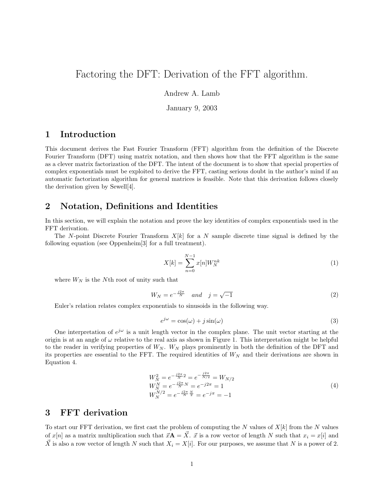# Factoring the DFT: Derivation of the FFT algorithm.

Andrew A. Lamb

January 9, 2003

### 1 Introduction

This document derives the Fast Fourier Transform (FFT) algorithm from the definition of the Discrete Fourier Transform (DFT) using matrix notation, and then shows how that the FFT algorithm is the same as a clever matrix factorization of the DFT. The intent of the document is to show that special properties of complex exponentials must be exploited to derive the FFT, casting serious doubt in the author's mind if an automatic factorization algorithm for general matrices is feasible. Note that this derivation follows closely the derivation given by Sewell[4].

### 2 Notation, Definitions and Identities

In this section, we will explain the notation and prove the key identities of complex exponentials used in the FFT derivation.

The N-point Discrete Fourier Transform  $X[k]$  for a N sample discrete time signal is defined by the following equation (see Oppenheim[3] for a full treatment).

$$
X[k] = \sum_{n=0}^{N-1} x[n]W_N^{nk}
$$
 (1)

where  $W_N$  is the Nth root of unity such that

$$
W_N = e^{-\frac{j2\pi}{N}} \quad and \quad j = \sqrt{-1}
$$
 (2)

Euler's relation relates complex exponentials to sinusoids in the following way.

$$
e^{j\omega} = \cos(\omega) + j\sin(\omega) \tag{3}
$$

One interpretation of  $e^{j\omega}$  is a unit length vector in the complex plane. The unit vector starting at the origin is at an angle of  $\omega$  relative to the real axis as shown in Figure 1. This interpretation might be helpful to the reader in verifying properties of  $W_N$ .  $W_N$  plays prominently in both the definition of the DFT and its properties are essential to the FFT. The required identities of  $W_N$  and their derivations are shown in Equation 4.

$$
W_N^2 = e^{-\frac{j2\pi}{N}2} = e^{-\frac{j2\pi}{N/2}} = W_{N/2}
$$
  
\n
$$
W_N^N = e^{-\frac{j2\pi}{N}N} = e^{-j2\pi} = 1
$$
  
\n
$$
W_N^{N/2} = e^{-\frac{j2\pi}{N} \frac{N}{2}} = e^{-j\pi} = -1
$$
\n(4)

#### 3 FFT derivation

To start our FFT derivation, we first cast the problem of computing the N values of  $X[k]$  from the N values of  $x[n]$  as a matrix multiplication such that  $\vec{x}A = \vec{X} \cdot \vec{x}$  is a row vector of length N such that  $x_i = x[i]$  and  $\vec{X}$  is also a row vector of length N such that  $X_i = X[i]$ . For our purposes, we assume that N is a power of 2.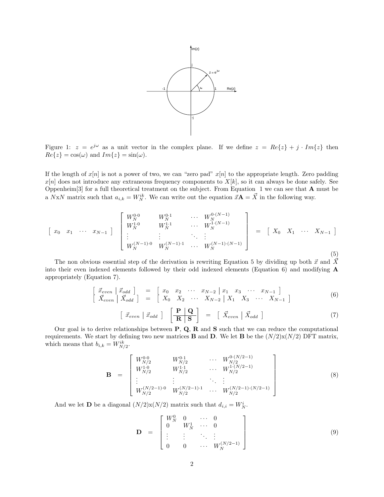

Figure 1:  $z = e^{j\omega}$  as a unit vector in the complex plane. If we define  $z = Re\{z\} + j \cdot Im\{z\}$  then  $Re{z} = cos(\omega)$  and  $Im{z} = sin(\omega)$ .

If the length of  $x[n]$  is not a power of two, we can "zero pad"  $x[n]$  to the appropriate length. Zero padding  $x[n]$  does not introduce any extraneous frequency components to  $X[k]$ , so it can always be done safely. See Oppenheim<sup>[3]</sup> for a full theoretical treatment on the subject. From Equation 1 we can see that  $A$  must be a NxN matrix such that  $a_{i,k} = W_N^{ik}$ . We can write out the equation  $\vec{x}A = \vec{X}$  in the following way.

$$
\begin{bmatrix} x_0 & x_1 & \cdots & x_{N-1} \end{bmatrix} \begin{bmatrix} W_N^{0,0} & W_N^{0,1} & \cdots & W_N^{0,(N-1)} \\ W_N^{1,0} & W_N^{1,1} & \cdots & W_N^{1,(N-1)} \\ \vdots & \vdots & \ddots & \vdots \\ W_N^{(N-1),0} & W_N^{(N-1),1} & \cdots & W_N^{(N-1),(N-1)} \end{bmatrix} = \begin{bmatrix} X_0 & X_1 & \cdots & X_{N-1} \end{bmatrix}
$$
(5)

The non obvious essential step of the derivation is rewriting Equation 5 by dividing up both  $\vec{x}$  and  $\vec{\vec{X}}$ into their even indexed elements followed by their odd indexed elements (Equation 6) and modifying A appropriately (Equation 7).

$$
\begin{bmatrix}\n\vec{x}_{even} & \vec{x}_{odd} \\
\vec{X}_{even} & \vec{X}_{odd}\n\end{bmatrix} =\n\begin{bmatrix}\nx_0 & x_2 & \cdots & x_{N-2} & x_1 & x_3 & \cdots & x_{N-1} \\
X_0 & X_2 & \cdots & X_{N-2} & X_1 & X_3 & \cdots & X_{N-1}\n\end{bmatrix}
$$
\n(6)

$$
\left[ \vec{x}_{even} \mid \vec{x}_{odd} \right] \left[ \frac{\mathbf{P} \mid \mathbf{Q}}{\mathbf{R} \mid \mathbf{S}} \right] = \left[ \vec{X}_{even} \mid \vec{X}_{odd} \right] \tag{7}
$$

Our goal is to derive relationships between  $P$ ,  $Q$ ,  $R$  and  $S$  such that we can reduce the computational requirements. We start by defining two new matrices **B** and **D**. We let **B** be the  $(N/2)x(N/2)$  DFT matrix, which means that  $b_{i,k} = W^{ik}_{N/2}$ .

$$
\mathbf{B} = \begin{bmatrix} W_{N/2}^{0 \cdot 0} & W_{N/2}^{0 \cdot 1} & \cdots & W_{N/2}^{0 \cdot (N/2 - 1)} \\ W_{N/2}^{1 \cdot 0} & W_{N/2}^{1 \cdot 1} & \cdots & W_{N/2}^{1 \cdot (N/2 - 1)} \\ \vdots & \vdots & \ddots & \vdots \\ W_{N/2}^{(N/2 - 1) \cdot 0} & W_{N/2}^{(N/2 - 1) \cdot 1} & \cdots & W_{N/2}^{(N/2 - 1) \cdot (N/2 - 1)} \end{bmatrix}
$$
(8)

And we let **D** be a diagonal  $(N/2)x(N/2)$  matrix such that  $d_{i,i} = W_N^i$ .

$$
\mathbf{D} = \begin{bmatrix} W_N^0 & 0 & \cdots & 0 \\ 0 & W_N^1 & \cdots & 0 \\ \vdots & \vdots & \ddots & \vdots \\ 0 & 0 & \cdots & W_N^{(N/2-1)} \end{bmatrix}
$$
(9)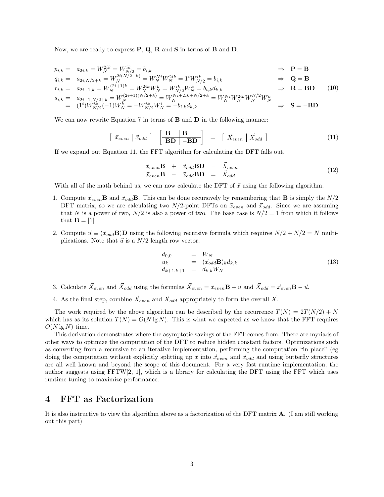Now, we are ready to express  $P$ ,  $Q$ ,  $R$  and  $S$  in terms of  $B$  and  $D$ .

$$
p_{i,k} = a_{2i,k} = W_N^{2ik} = W_N^{ik} = b_{i,k} \Rightarrow \mathbf{P} = \mathbf{B}
$$
  
\n
$$
q_{i,k} = a_{2i,N/2+k} = W_N^{2i(N/2+k)} = W_N^{Ni} W_N^{2ik} = 1^i W_{N/2}^{ik} = b_{i,k} \Rightarrow \mathbf{Q} = \mathbf{B}
$$
  
\n
$$
r_{i,k} = a_{2i+1,k} = W_N^{(2i+1)k} = W_N^{2ik} W_N^k = W_{N/2}^{ik} W_N^k = b_{i,k} d_{k,k} \Rightarrow \mathbf{R} = \mathbf{B} \mathbf{D} \quad (10)
$$
  
\n
$$
s_{i,k} = a_{2i+1,N/2+k} = W_N^{(2i+1)(N/2+k)} = W_N^{Ni+2ik+N/2+k} = W_N^{Ni} W_N^{2ik} W_N^{N/2} W_N^k
$$
  
\n
$$
= (1^i) W_{N/2}^{ik} (-1) W_N^k = -W_{N/2}^{ik} W_N^i = -b_{i,k} d_{k,k} \Rightarrow \mathbf{S} = -\mathbf{B} \mathbf{D}
$$

We can now rewrite Equation 7 in terms of  $B$  and  $D$  in the following manner:

$$
\left[ \vec{x}_{even} \mid \vec{x}_{odd} \right] \left[ \frac{\mathbf{B} \mid \mathbf{B}}{\mathbf{BD} \mid -\mathbf{BD}} \right] = \left[ \vec{X}_{even} \mid \vec{X}_{odd} \right] \tag{11}
$$

If we expand out Equation 11, the FFT algorithm for calculating the DFT falls out.

$$
\begin{array}{rcl}\n\vec{x}_{even}\mathbf{B} & + & \vec{x}_{odd}\mathbf{BD} & = & \vec{X}_{even} \\
\vec{x}_{even}\mathbf{B} & - & \vec{x}_{odd}\mathbf{BD} & = & \vec{X}_{odd}\n\end{array} \tag{12}
$$

With all of the math behind us, we can now calculate the DFT of  $\vec{x}$  using the following algorithm.

- 1. Compute  $\vec{x}_{even}$ **B** and  $\vec{x}_{odd}$ **B**. This can be done recursively by remembering that **B** is simply the  $N/2$ DFT matrix, so we are calculating two  $N/2$ -point DFTs on  $\vec{x}_{even}$  and  $\vec{x}_{odd}$ . Since we are assuming that N is a power of two,  $N/2$  is also a power of two. The base case is  $N/2 = 1$  from which it follows that  $\mathbf{B} = [1]$ .
- 2. Compute  $\vec{u} \equiv (\vec{x}_{odd}B)D$  using the following recursive formula which requires  $N/2 + N/2 = N$  multiplications. Note that  $\vec{u}$  is a  $N/2$  length row vector.

$$
\begin{array}{rcl}\nd_{0,0} & = & W_N \\
u_k & = & (\vec{x}_{odd} \mathbf{B})_k d_{k,k} \\
d_{k+1,k+1} & = & d_{k,k} W_N\n\end{array} \tag{13}
$$

- 3. Calculate  $\vec{X}_{even}$  and  $\vec{X}_{odd}$  using the formulas  $\vec{X}_{even} = \vec{x}_{even} \mathbf{B} + \vec{u}$  and  $\vec{X}_{odd} = \vec{x}_{even} \mathbf{B} \vec{u}$ .
- 4. As the final step, combine  $\vec{X}_{even}$  and  $\vec{X}_{odd}$  appropriately to form the overall  $\vec{X}$ .

The work required by the above algorithm can be described by the recurrence  $T(N) = 2T(N/2) + N$ which has as its solution  $T(N) = O(N \lg N)$ . This is what we expected as we know that the FFT requires  $O(N \lg N)$  time.

This derivation demonstrates where the asymptotic savings of the FFT comes from. There are myriads of other ways to optimize the computation of the DFT to reduce hidden constant factors. Optimizations such as converting from a recursive to an iterative implementation, performing the computation "in place" (eg doing the computation without explicitly splitting up  $\vec{x}$  into  $\vec{x}_{even}$  and  $\vec{x}_{odd}$  and using butterfly structures are all well known and beyond the scope of this document. For a very fast runtime implementation, the author suggests using  $FFTW[2, 1]$ , which is a library for calculating the DFT using the FFT which uses runtime tuning to maximize performance.

#### 4 FFT as Factorization

It is also instructive to view the algorithm above as a factorization of the DFT matrix A. (I am still working out this part)